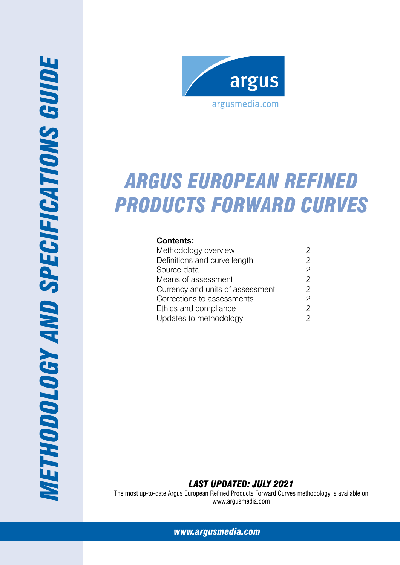

# *Argus European refined products forward curves*

## **Contents:**

| Methodology overview             | 2              |
|----------------------------------|----------------|
| Definitions and curve length     | 2              |
| Source data                      | $\overline{c}$ |
| Means of assessment              | 2              |
| Currency and units of assessment | 2              |
| Corrections to assessments       | $\overline{c}$ |
| Ethics and compliance            | $\overline{c}$ |
| Updates to methodology           | 2              |

*Last Updated: July 2021*

The most up-to-date Argus European Refined Products Forward Curves methodology is available on www.argusmedia.com

*[www.argusmedia.com](http://www.argusmedia.com/pages/StaticPage.aspx?tname=Resources&pname=Methodology)*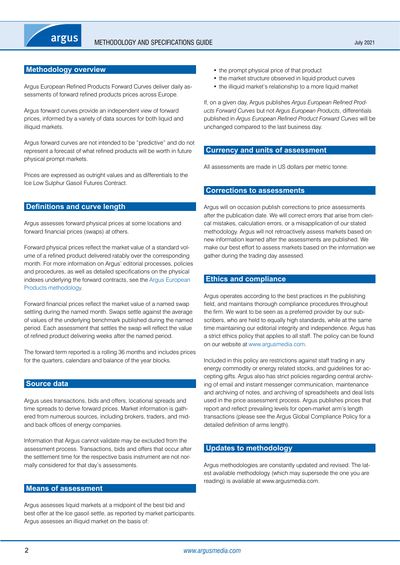## <span id="page-1-0"></span>**Methodology overview**

Argus European Refined Products Forward Curves deliver daily assessments of forward refined products prices across Europe.

Argus forward curves provide an independent view of forward prices, informed by a variety of data sources for both liquid and illiquid markets.

Argus forward curves are not intended to be "predictive" and do not represent a forecast of what refined products will be worth in future physical prompt markets.

Prices are expressed as outright values and as differentials to the Ice Low Sulphur Gasoil Futures Contract.

## **Definitions and curve length**

Argus assesses forward physical prices at some locations and forward financial prices (swaps) at others.

Forward physical prices reflect the market value of a standard volume of a refined product delivered ratably over the corresponding month. For more information on Argus' editorial processes, policies and procedures, as well as detailed specifications on the physical indexes underlying the forward contracts, see the [Argus European](http://www.argusmedia.com/~/media/Files/PDFs/Meth/argus_european_products.pdf?la=en)  [Products methodology.](http://www.argusmedia.com/~/media/Files/PDFs/Meth/argus_european_products.pdf?la=en)

Forward financial prices reflect the market value of a named swap settling during the named month. Swaps settle against the average of values of the underlying benchmark published during the named period. Each assessment that settles the swap will reflect the value of refined product delivering weeks after the named period.

The forward term reported is a rolling 36 months and includes prices for the quarters, calendars and balance of the year blocks.

## **Source data**

Argus uses transactions, bids and offers, locational spreads and time spreads to derive forward prices. Market information is gathered from numerous sources, including brokers, traders, and midand back offices of energy companies.

Information that Argus cannot validate may be excluded from the assessment process. Transactions, bids and offers that occur after the settlement time for the respective basis instrument are not normally considered for that day's assessments.

#### **Means of assessment**

Argus assesses liquid markets at a midpoint of the best bid and best offer at the Ice gasoil settle, as reported by market participants. Argus assesses an illiquid market on the basis of:

- the prompt physical price of that product
- the market structure observed in liquid product curves
- the illiquid market's relationship to a more liquid market

If, on a given day, Argus publishes *Argus European Refined Products Forward Curves* but not *Argus European Products*, differentials published in *Argus European Refined Product Forward Curves* will be unchanged compared to the last business day.

## **Currency and units of assessment**

All assessments are made in US dollars per metric tonne.

#### **Corrections to assessments**

Argus will on occasion publish corrections to price assessments after the publication date. We will correct errors that arise from clerical mistakes, calculation errors, or a misapplication of our stated methodology. Argus will not retroactively assess markets based on new information learned after the assessments are published. We make our best effort to assess markets based on the information we gather during the trading day assessed.

## **Ethics and compliance**

Argus operates according to the best practices in the publishing field, and maintains thorough compliance procedures throughout the firm. We want to be seen as a preferred provider by our subscribers, who are held to equally high standards, while at the same time maintaining our editorial integrity and independence. Argus has a strict ethics policy that applies to all staff. The policy can be found on our website at [www.argusmedia.com.](www.argusmedia.com)

Included in this policy are restrictions against staff trading in any energy commodity or energy related stocks, and guidelines for accepting gifts. Argus also has strict policies regarding central archiving of email and instant messenger communication, maintenance and archiving of notes, and archiving of spreadsheets and deal lists used in the price assessment process. Argus publishes prices that report and reflect prevailing levels for open-market arm's length transactions (please see the Argus Global Compliance Policy for a detailed definition of arms length).

## **Updates to methodology**

Argus methodologies are constantly updated and revised. The latest available methodology (which may supersede the one you are reading) is available at www.argusmedia.com.